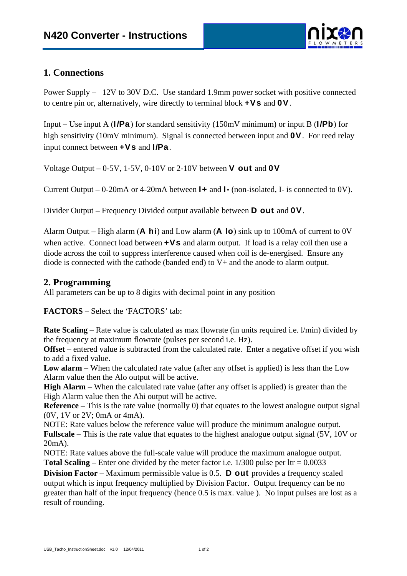

## **1. Connections**

Power Supply – 12V to 30V D.C. Use standard 1.9mm power socket with positive connected to centre pin or, alternatively, wire directly to terminal block  $+Vs$  and  $OV$ .

Input – Use input A (I/Pa) for standard sensitivity (150mV minimum) or input B (I/Pb) for high sensitivity (10mV minimum). Signal is connected between input and **OV**. For reed relay input connect between  $+Vs$  and  $I/Pa$ .

Voltage Output – 0-5V, 1-5V, 0-10V or 2-10V between **V out** and **OV** 

Current Output – 0-20mA or 4-20mA between  $\mathbf{I}$  + and  $\mathbf{I}$ - (non-isolated, I- is connected to 0V).

Divider Output – Frequency Divided output available between **D** out and **OV**.

Alarm Output – High alarm ( $\bf{A}$  hi) and Low alarm ( $\bf{A}$  lo) sink up to 100mA of current to 0V when active. Connect load between  $+Vs$  and alarm output. If load is a relay coil then use a diode across the coil to suppress interference caused when coil is de-energised. Ensure any diode is connected with the cathode (banded end) to V+ and the anode to alarm output.

## **2. Programming**

All parameters can be up to 8 digits with decimal point in any position

**FACTORS** – Select the 'FACTORS' tab:

**Rate Scaling** – Rate value is calculated as max flowrate (in units required i.e. l/min) divided by the frequency at maximum flowrate (pulses per second i.e. Hz).

**Offset** – entered value is subtracted from the calculated rate. Enter a negative offset if you wish to add a fixed value.

**Low alarm** – When the calculated rate value (after any offset is applied) is less than the Low Alarm value then the Alo output will be active.

**High Alarm** – When the calculated rate value (after any offset is applied) is greater than the High Alarm value then the Ahi output will be active.

**Reference** – This is the rate value (normally 0) that equates to the lowest analogue output signal (0V, 1V or 2V; 0mA or 4mA).

NOTE: Rate values below the reference value will produce the minimum analogue output. **Fullscale** – This is the rate value that equates to the highest analogue output signal (5V, 10V or 20mA).

NOTE: Rate values above the full-scale value will produce the maximum analogue output. **Total Scaling** – Enter one divided by the meter factor i.e.  $1/300$  pulse per ltr =  $0.0033$ 

**Division Factor** – Maximum permissible value is 0.5. **D out** provides a frequency scaled output which is input frequency multiplied by Division Factor. Output frequency can be no greater than half of the input frequency (hence 0.5 is max. value ). No input pulses are lost as a result of rounding.